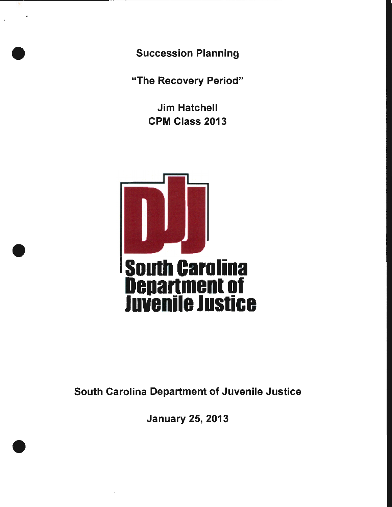Succession Planning

•

•

•

"The Recovery Period"

Jim Hatchell CPM Class 2013



South Carolina Department of Juvenile Justice

January 25, 2013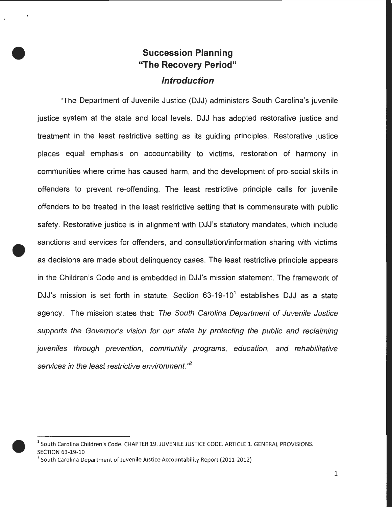# **Succession Planning "The Recovery Period" Introduction**

•

 $\bullet$ "The Department of Juvenile Justice (DJJ) administers South Carolina's juvenile justice system at the state and local levels. DJJ has adopted restorative justice and treatment in the least restrictive setting as its guiding principles. Restorative justice places equal emphasis on accountability to victims, restoration of harmony in communities where crime has caused harm, and the development of pro-social skills in offenders to prevent re-offending. The least restrictive principle calls for juvenile offenders to be treated in the least restrictive setting that is commensurate with public safety. Restorative justice is in alignment with DJJ's statutory mandates, which include sanctions and services for offenders, and consultation/information sharing with victims as decisions are made about delinquency cases. The least restrictive principle appears in the Children's Code and is embedded in DJJ's mission statement. The framework of DJJ's mission is set forth in statute, Section  $63-19-10<sup>1</sup>$  establishes DJJ as a state agency. The mission states that: The South Carolina Department of Juvenile Justice supports the Governor's vision for our state by protecting the public and reclaiming juveniles through prevention, community programs, education, and rehabilitative services in the least restrictive environment. $n^2$ 

 $\begin{array}{c}\n\frac{1}{2} \\
\frac{1}{2}\n\end{array}$ <sup>1</sup> South Carolina Children's Code. CHAPTER 19. JUVENILE JUSTICE CODE. ARTICLE 1. GENERAL PROVISIONS. SECTION 63-19-10<br><sup>2</sup> South Carolina Department of Juvenile Justice Accountability Report (2011-2012)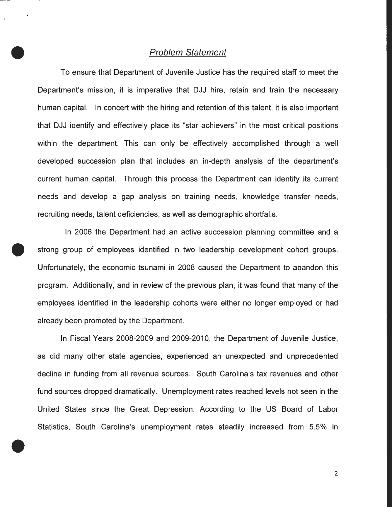• Problem Statement<br>
To ensure that Department of Juvenile Justice has the required staff to meet the Department's mission, it is imperative that DJJ hire, retain and train the necessary human capital. In concert with the hiring and retention of this talent, it is also important that DJJ identify and effectively place its "star achievers" in the most critical positions within the department. This can only be effectively accomplished through a well developed succession plan that includes an in-depth analysis of the department's current human capital. Through this process the Department can identify its current needs and develop a gap analysis on training needs, knowledge transfer needs, recruiting needs, talent deficiencies, as well as demographic shortfalls.

In 2006 the Department had an active succession planning committee and a • strong group of employees identified in two leadership development cohort groups. Unfortunately, the economic tsunami in 2008 caused the Department to abandon this program. Additionally, and in review of the previous plan, it was found that many of the employees identified in the leadership cohorts were either no longer employed or had already been promoted by the Department.

•<br>• In Fiscal Years 2008-2009 and 2009-2010, the Department of Juvenile Justice, as did many other state agencies, experienced an unexpected and unprecedented decline in funding from all revenue sources. South Carolina's tax revenues and other fund sources dropped dramatically. Unemployment rates reached levels not seen in the United States since the Great Depression. According to the US Board of Labor Statistics, South Carolina's unemployment rates steadily increased from 5.5% in

2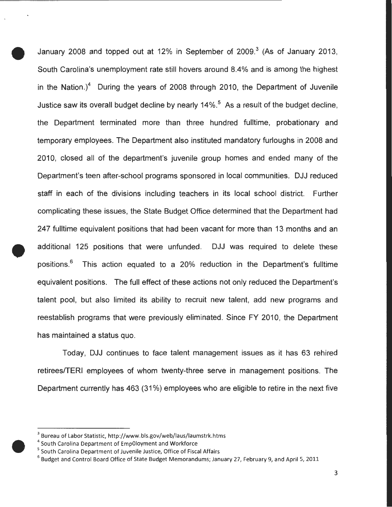January 2008 and topped out at 12% in September of 2009. $3$  (As of January 2013, South Carolina's unemployment rate still hovers around 8.4% and is among the highest  $\bullet$ in the Nation.)<sup>4</sup> During the years of 2008 through 2010, the Department of Juvenile Justice saw its overall budget decline by nearly  $14\%$ <sup>5</sup>. As a result of the budget decline, the Department terminated more than three hundred fulltime, probationary and temporary employees. The Department also instituted mandatory furloughs in 2008 and 2010, closed all of the department's juvenile group homes and ended many of the Department's teen after-school programs sponsored in local communities. DJJ reduced staff in each of the divisions including teachers in its local school district. Further complicating these issues, the State Budget Office determined that the Department had 247 fulltime equivalent positions that had been vacant for more than 13 months and an additional 125 positions that were unfunded. DJJ was required to delete these positions.6 This action equated to a 20% reduction in the Department's fulltime equivalent positions. The full effect of these actions not only reduced the Department's talent pool, but also limited its ability to recruit new talent, add new programs and reestablish programs that were previously eliminated. Since FY 2010, the Department has maintained a status quo.

Today, DJJ continues to face talent management issues as it has 63 rehired retireesfTERI employees of whom twenty-three serve in management positions. The Department currently has 463 (31%) employees who are eligible to retire in the next five

<sup>&</sup>lt;sup>3</sup> Bureau of Labor Statistic, http://www.bls.gov/web/laus/laumstrk.htms

 $\begin{array}{c}\n\phantom{-}\overline{3} \\
\phantom{-}3 \\
\phantom{-}4 \\
\phantom{-}5 \\
\phantom{-}6\n\end{array}$  $4$  South Carolina Department of Emp0loyment and Workforce<br> $5$  South Carolina Department of Juvenile Justice, Office of Fiscal Affairs

 $6$  Budget and Control Board Office of State Budget Memorandums; January 27, February 9, and April 5, 2011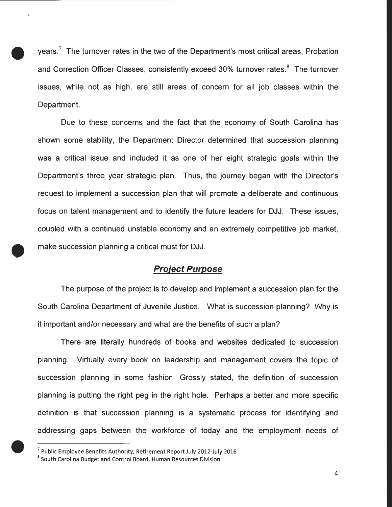vears.<sup>7</sup> The turnover rates in the two of the Department's most critical areas, Probation and Correction Officer Classes, consistently exceed 30% turnover rates.<sup>8</sup> The turnover issues, while not as high, are still areas of concern for all job classes within the Department.

• ( Due to these concerns and the fact that the economy of South Carolina has shown some stability, the Department Director determined that succession planning was a critical issue and included it as one of her eight strategic goals within the Department's three year strategic plan. Thus, the journey began with the Director's request to implement a succession plan that will promote a deliberate and continuous focus on talent management and to identify the future leaders for DJJ. These issues, coupled with a continued unstable economy and an extremely competitive job market, make succession planning a critical must for DJJ.

#### **Project Purpose**

The purpose of the project is to develop and implement a succession plan for the South Carolina Department of Juvenile Justice. What is succession planning? Why is it important and/or necessary and what are the benefits of such a plan?

There are literally hundreds of books and websites dedicated to succession planning. Virtually every book on leadership and management covers the topic of succession planning in some fashion. Grossly stated, the definition of succession planning is putting the right peg in the right hole. Perhaps a better and more specific definition is that succession planning is a systematic process for identifying and addressing gaps between the workforce of today and the employment needs of

 $7$  Public Employee Benefits Authority, Retirement Report July 2012-July 2016

 $\begin{array}{c}\n\vdots \\
\hline\n\vdots \\
\hline\n\vdots \\
\hline\n\end{array}$ <sup>8</sup> South Carolina Budget and Control Board, Human Resources Division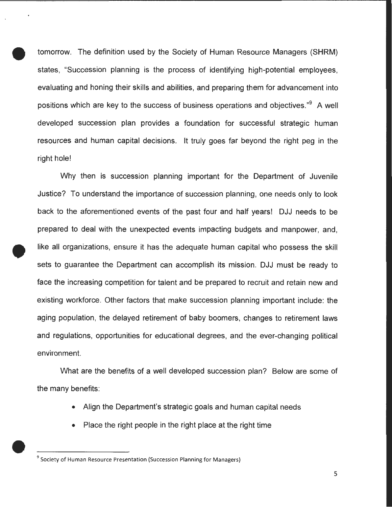• tomorrow. The definition used by the Society of Human Resource Managers (SHRM) states, "Succession planning is the process of identifying high-potential employees, evaluating and honing their skills and abilities, and preparing them for advancement into positions which are key to the success of business operations and objectives."<sup>9</sup> A well developed succession plan provides a foundation for successful strategic human resources and human capital decisions. It truly goes far beyond the right peg in the right hole!

 $\bullet$ Why then is succession planning important for the Department of Juvenile Justice? To understand the importance of succession planning, one needs only to look back to the aforementioned events of the past four and half years! DJJ needs to be prepared to deal with the unexpected events impacting budgets and manpower, and, like all organizations, ensure it has the adequate human capital who possess the skill sets to guarantee the Department can accomplish its mission. DJJ must be ready to face the increasing competition for talent and be prepared to recruit and retain new and existing workforce. Other factors that make succession planning important include: the aging population, the delayed retirement of baby boomers, changes to retirement laws and regulations, opportunities for educational degrees, and the ever-changing political environment.

What are the benefits of a well developed succession plan? Below are some of the many benefits:

- Align the Department's strategic goals and human capital needs
- Place the right people in the right place at the right time

5

 $\bullet$ <sup>9</sup> Society of Human Resource Presentation (Succession Planning for Managers)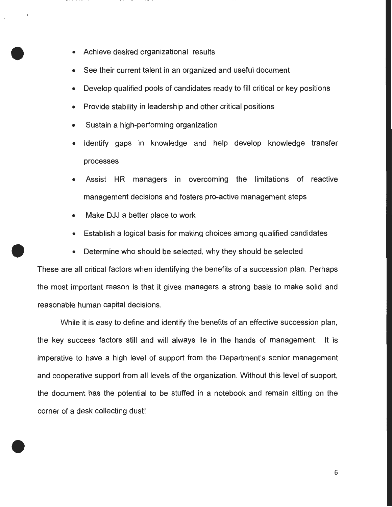• Achieve desired organizational results

•

•

- See their current talent in an organized and useful document
- Develop qualified pools of candidates ready to fill critical or key positions
- Provide stability in leadership and other critical positions
- Sustain a high-performing organization
- Identify gaps in knowledge and help develop knowledge transfer processes
- Assist HR managers in overcoming the limitations of reactive management decisions and fosters pro-active management steps
- Make DJJ a better place to work
- Establish a logical basis for making choices among qualified candidates
- Determine who should be selected, why they should be selected

 $\bullet$ These are all critical factors when identifying the benefits of a succession plan. Perhaps the most important reason is that it gives managers a strong basis to make solid and reasonable human capital decisions.

While it is easy to define and identify the benefits of an effective succession plan, the key success factors still and will always lie in the hands of management. It is imperative to have a high level of support from the Department's senior management and cooperative support from all levels of the organization. Without this level of support, the document has the potential to be stuffed in a notebook and remain sitting on the corner of a desk collecting dust!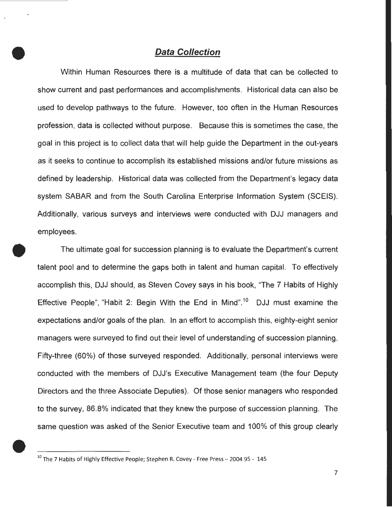**Data Collection**<br>
Within Human Resources there is a multitude of data that can be collected to show current and past performances and accomplishments. Historical data can also be used to develop pathways to the future. However, too often in the Human Resources profession, data is collected without purpose. Because this is sometimes the case, the goal in this project is to collect data that will help guide the Department in the out-years as it seeks to continue to accomplish its established missions and/or future missions as defined by leadership. Historical data was collected from the Department's legacy data system SABAR and from the South Carolina Enterprise Information System (SCEIS). Additionally, various surveys and interviews were conducted with DJJ managers and employees.

The ultimate goal for succession planning is to evaluate the Department's current talent pool and to determine the gaps both in talent and human capital. To effectively accomplish this, DJJ should, as Steven Covey says in his book, "The 7 Habits of Highly Effective People", "Habit 2: Begin With the End in Mind".<sup>10</sup> DJJ must examine the expectations and/or goals of the plan. In an effort to accomplish this, eighty-eight senior managers were surveyed to find out their level of understanding of succession planning. Fifty-three (60%) of those surveyed responded. Additionally, personal interviews were conducted with the members of DJJ's Executive Management team (the four Deputy Directors and the three Associate Deputies). Of those senior managers who responded to the survey, 86.8% indicated that they knew the purpose of succession planning. The same question was asked of the Senior Executive team and 100% of this group clearly

 $\bullet$   $\frac{1}{10}$  $10$  The 7 Habits of Highly Effective People; Stephen R. Covey - Free Press – 2004 95 - 145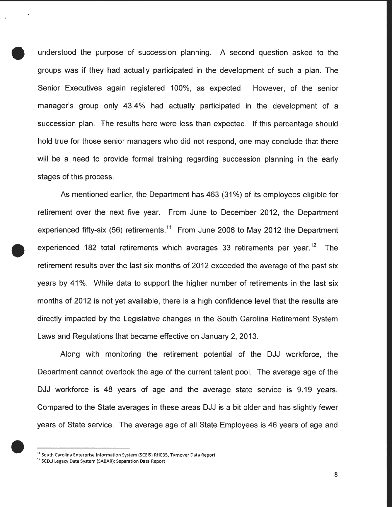• understood the purpose of succession planning. A second question asked to the groups was if they had actually participated in the development of such a plan. The Senior Executives again registered 100%, as expected. However, of the senior manager's group only 43.4% had actually participated in the development of a succession plan. The results here were less than expected. If this percentage should hold true for those senior managers who did not respond, one may conclude that there will be a need to provide formal training regarding succession planning in the early stages of this process.

As mentioned earlier, the Department has 463 (31%) of its employees eligible for retirement over the next five year. From June to December 2012, the Department experienced fifty-six (56) retirements.<sup>11</sup> From June 2006 to May 2012 the Department experienced 182 total retirements which averages 33 retirements per year.<sup>12</sup> The retirement results over the last six months of 2012 exceeded the average of the past six years by 41%. While data to support the higher number of retirements in the last six months of 2012 is not yet available, there is a high confidence level that the results are directly impacted by the Legislative changes in the South Carolina Retirement System Laws and Regulations that became effective on January 2, 2013.

Along with monitoring the retirement potential of the DJJ workforce, the Department cannot overlook the age of the current talent pool. The average age of the DJJ workforce is 48 years of age and the average state service is 9.19 years. Compared to the State averages in these areas DJJ is a bit older and has slightly fewer years of State service. The average age of all State Employees is 46 years of age and

 $\frac{1}{\pi}$ <sup>11</sup> South Carolina Enterprise Information System (SCEIS) RH035, Turnover Data Report

<sup>&</sup>lt;sup>12</sup> SCDJJ Legacy Data System (SABAR); Separation Data Report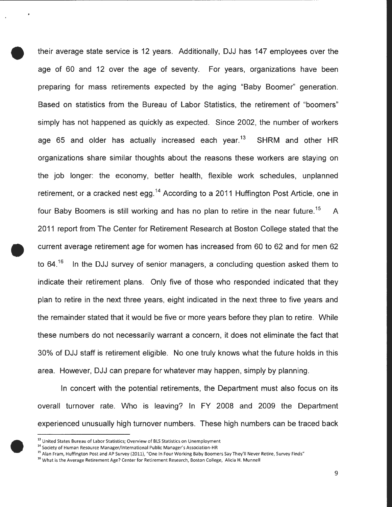• their average state service is 12 years. Additionally, DJJ has 147 employees over the age of 60 and 12 over the age of seventy. For years, organizations have been preparing for mass retirements expected by the aging "Baby Boomer" generation. Based on statistics from the Bureau of Labor Statistics, the retirement of "boomers" simply has not happened as quickly as expected. Since 2002, the number of workers age 65 and older has actually increased each year.<sup>13</sup> SHRM and other HR organizations share similar thoughts about the reasons these workers are staying on the job longer: the economy, better health, flexible work schedules, unplanned retirement, or a cracked nest egg.<sup>14</sup> According to a 2011 Huffington Post Article, one in four Baby Boomers is still working and has no plan to retire in the near future.<sup>15</sup> A 2011 report from The Center for Retirement Research at Boston College stated that the • current average retirement age for women has increased from 60 to 62 and for men 62 to  $64<sup>16</sup>$  In the DJJ survey of senior managers, a concluding question asked them to indicate their retirement plans. Only five of those who responded indicated that they plan to retire in the next three years, eight indicated in the next three to five years and the remainder stated that it would be five or more years before they plan to retire. While these numbers do not necessarily warrant a concern, it does not eliminate the fact that 30% of DJJ staff is retirement eligible. No one truly knows what the future holds in this area. However, DJJ can prepare for whatever may happen, simply by planning.

In concert with the potential retirements, the Department must also focus on its overall turnover rate. Who is leaving? In FY 2008 and 2009 the Department experienced unusually high turnover numbers. These high numbers can be traced back

9

<sup>&</sup>lt;sup>13</sup> United States Bureau of Labor Statistics; Overview of BLS Statistics on Unemployment

<sup>&</sup>lt;sup>14</sup> Society of Human Resource Manager/International Public Manager's Association-HR

 $\bullet$ <sup>15</sup> Alan Fram, Huffington Post and AP Survey (2011), "One In Four Working Baby Boomers Say They'll Never Retire, Survey Finds"

<sup>&</sup>lt;sup>16</sup> What is the Average Retirement Age? Center for Retirement Research, Boston College, Alicia H. Munnell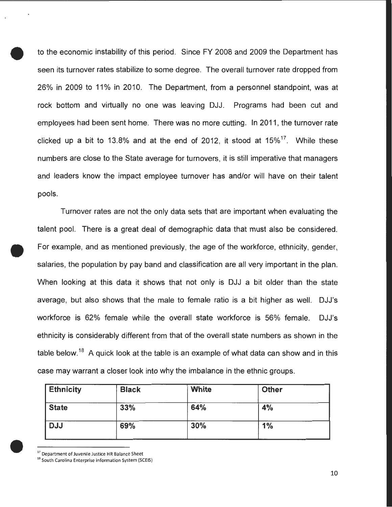to the economic instability of this period. Since FY 2008 and 2009 the Department has seen its turnover rates stabilize to some degree. The overall turnover rate dropped from 26% in 2009 to 11% in 2010. The Department, from a personnel standpoint, was at rock bottom and virtually no one was leaving DJJ. Programs had been cut and employees had been sent home. There was no more cutting. In 2011, the turnover rate clicked up a bit to 13.8% and at the end of 2012, it stood at  $15\%$ <sup>17</sup>. While these numbers are close to the State average for turnovers, it is still imperative that managers and leaders know the impact employee turnover has and/or will have on their talent pools.

Turnover rates are not the only data sets that are important when evaluating the talent pool. There is a great deal of demographic data that must also be considered. • For example, and as mentioned previously, the age of the workforce, ethnicity, gender, salaries, the population by pay band and classification are all very important in the plan. When looking at this data it shows that not only is DJJ a bit older than the state average, but also shows that the male to female ratio is a bit higher as well. DJJ's workforce is 62% female while the overall state workforce is 56% female. DJJ's ethnicity is considerably different from that of the overall state numbers as shown in the table below.<sup>18</sup> A quick look at the table is an example of what data can show and in this case may warrant a closer look into why the imbalance in the ethnic groups.

| <b>Ethnicity</b> | <b>Black</b> | White | <b>Other</b> |
|------------------|--------------|-------|--------------|
| <b>State</b>     | 33%          | 64%   | 4%           |
| <b>DJJ</b>       | 69%          | 30%   | 1%           |

<sup>&</sup>lt;sup>17</sup> Department of Juvenile Justice HR Balance Sheet

<sup>•</sup>  <sup>18</sup> South Carolina Enterprise information System (SCEIS)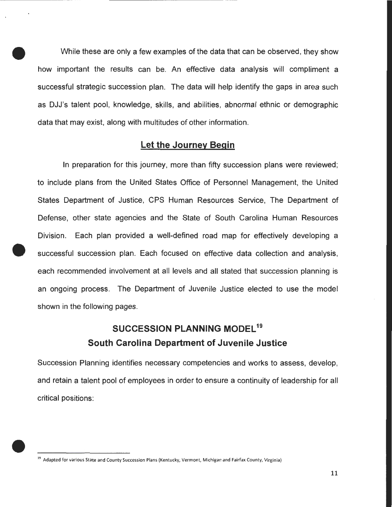• While these are only a few examples of the data that can be observed, they show how important the results can be. An effective data analysis will compliment a successful strategic succession plan. The data will help identify the gaps in area such as DJJ's talent pool, knowledge, skills, and abilities, abnormal ethnic or demographic data that may exist, along with multitudes of other information.

#### **Let the Journey Begin**

In preparation for this journey, more than fifty succession plans were reviewed; to include plans from the United States Office of Personnel Management, the United States Department of Justice, CPS Human Resources Service, The Department of Defense, other state agencies and the State of South Carolina Human Resources Division. Each plan provided a well-defined road map for effectively developing a • successful succession plan. Each focused on effective data collection and analysis, each recommended involvement at all levels and all stated that succession planning is an ongoing process. The Department of Juvenile Justice elected to use the model shown in the following pages.

# **SUCCESSION PLANNING MODEL<sup>19</sup> South Carolina Department of Juvenile Justice**

Succession Planning identifies necessary competencies and works to assess, develop, and retain a talent pool of employees in order to ensure a continuity of leadership for all critical positions:

 $\bullet$ <sup>19</sup> Adapted for various State and County Succession Plans (Kentucky, Vermont, Michigan and Fairfax County, Virginia)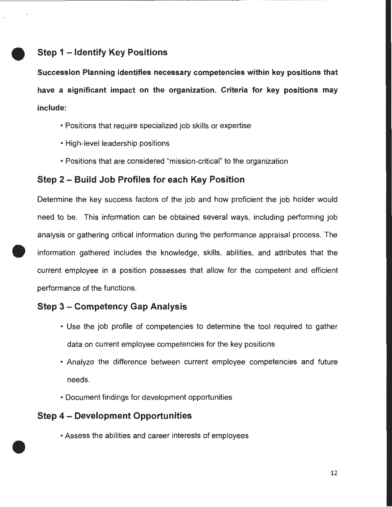#### • **Step 1 - Identify Key Positions**

**Succession Planning identifies necessary competencies within key positions that have a significant impact on the organization. Criteria for key positions may include:** 

- Positions that require specialized job skills or expertise
- High-level leadership positions
- Positions that are considered "mission-critical" to the organization

#### **Step 2- Build Job Profiles for each Key Position**

Determine the key success factors of the job and how proficient the job holder would need to be. This information can be obtained several ways, including performing job analysis or gathering critical information during the performance appraisal process. The • information gathered includes the knowledge, skills, abilities, and attributes that the current employee in a position possesses that allow for the competent and efficient performance of the functions.

#### **Step 3- Competency Gap Analysis**

- Use the job profile of competencies to determine the tool required to gather data on current employee competencies for the key positions
- Analyze the difference between current employee competencies and future needs.
- Document findings for development opportunities

#### **Step 4- Development Opportunities**

•

• Assess the abilities and career interests of employees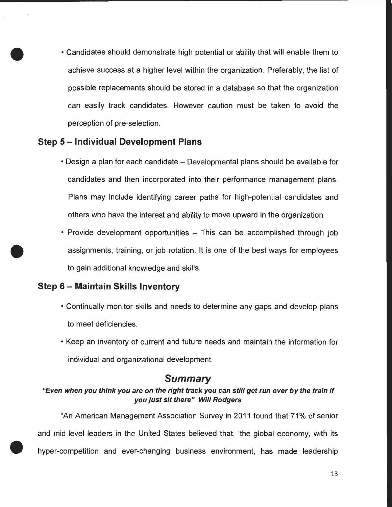• Candidates should demonstrate high potential or ability that will enable them to achieve success at a higher level within the organization. Preferably, the list of possible replacements should be stored in a database so that the organization can easily track candidates. However caution must be taken to avoid the perception of pre-selection.

#### Step 5 - Individual Development Plans

•

•

•

- Design a plan for each candidate Developmental plans should be available for candidates and then incorporated into their performance management plans. Plans may include identifying career paths for high-potential candidates and others who have the interest and ability to move upward in the organization
- Provide development opportunities This can be accomplished through job assignments, training, or job rotation. It is one of the best ways for employees to gain additional knowledge and skills.

#### Step 6 - Maintain Skills Inventory

- Continually monitor skills and needs to determine any gaps and develop plans to meet deficiencies.
- Keep an inventory of current and future needs and maintain the information for individual and organizational development.

### **Summary**

#### "Even when you think you are on the right track you can still get run over by the train if you just sit there" Will Rodgers

"An American Management Association Survey in 2011 found that 71% of senior and mid-level leaders in the United States believed that, 'the global economy, with its hyper-competition and ever-changing business environment, has made leadership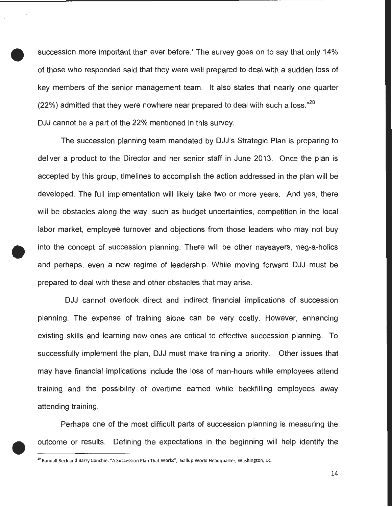• succession more important than ever before.' The survey goes on to say that only 14% of those who responded said that they were well prepared to deal with a sudden loss of key members of the senior management team. It also states that nearly one quarter (22%) admitted that they were nowhere near prepared to deal with such a loss." $20$ DJJ cannot be a part of the 22% mentioned in this survey.

 $\bullet$ The succession planning team mandated by DJJ's Strategic Plan is preparing to deliver a product to the Director and her senior staff in June 2013. Once the plan is accepted by this group, timelines to accomplish the action addressed in the plan will be developed. The full implementation will likely take two or more years. And yes, there will be obstacles along the way, such as budget uncertainties, competition in the local labor market, employee turnover and objections from those leaders who may not buy into the concept of succession planning. There will be other naysayers, neg-a-holies and perhaps, even a new regime of leadership. While moving forward DJJ must be prepared to deal with these and other obstacles that may arise.

DJJ cannot overlook direct and indirect financial implications of succession planning. The expense of training alone can be very costly. However, enhancing existing skills and learning new ones are critical to effective succession planning. To successfully implement the plan, DJJ must make training a priority. Other issues that may have financial implications include the loss of man-hours while employees attend training and the possibility of overtime earned while backfilling employees away attending training.

 $\bullet$   $\frac{1}{x}$ Perhaps one of the most difficult parts of succession planning is measuring the outcome or results. Defining the expectations in the beginning will help identify the

14

<sup>&</sup>lt;sup>20</sup> Randall Beck and Barry Conchie, "A Succession Plan That Works"; Gallup World Headquarter, Washington, DC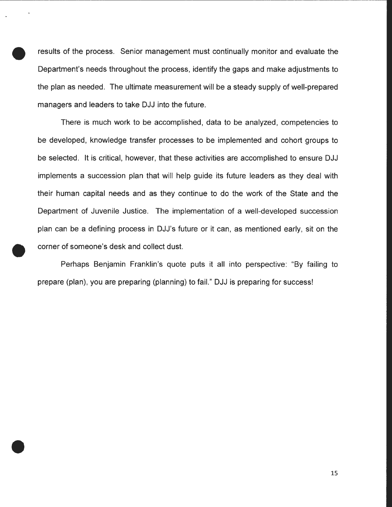• results of the process. Senior management must continually monitor and evaluate the Department's needs throughout the process, identify the gaps and make adjustments to the plan as needed. The ultimate measurement will be a steady supply of well-prepared managers and leaders to take DJJ into the future.

 $\bullet$ There is much work to be accomplished, data to be analyzed, competencies to be developed, knowledge transfer processes to be implemented and cohort groups to be selected. It is critical, however, that these activities are accomplished to ensure DJJ implements a succession plan that will help guide its future leaders as they deal with their human capital needs and as they continue to do the work of the State and the Department of Juvenile Justice. The implementation of a well-developed succession plan can be a defining process in DJJ's future or it can, as mentioned early, sit on the corner of someone's desk and collect dust.

Perhaps Benjamin Franklin's quote puts it all into perspective: "By failing to prepare (plan), you are preparing (planning) to fail." DJJ is preparing for success!

•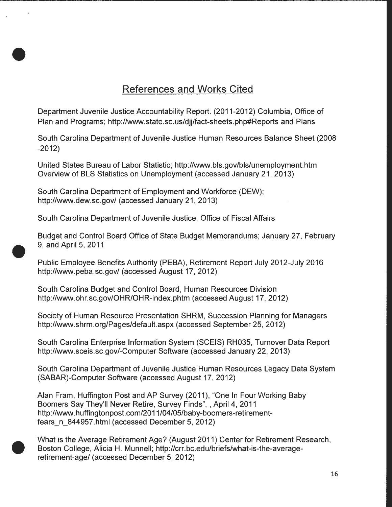# **References and Works Cited**

Department Juvenile Justice Accountability Report. (2011-2012) Columbia, Office of Plan and Programs; http://www.state.sc.us/djj/fact-sheets.php#Reports and Plans

South Carolina Department of Juvenile Justice Human Resources Balance Sheet (2008 -2012)

United States Bureau of Labor Statistic; http://www.bls.gov/bls/unemployment.htm Overview of BLS Statistics on Unemployment (accessed January 21, 2013)

South Carolina Department of Employment and Workforce (DEW); http://www.dew.sc.gov/ (accessed January 21, 2013)

•

South Carolina Department of Juvenile Justice, Office of Fiscal Affairs

Budget and Control Board Office of State Budget Memorandums; January 27, February 9, and April 5, 2011

 $\begin{array}{c}\n\epsilon \\
\epsilon \\
\epsilon\n\end{array}$ Public Employee Benefits Authority (PEBA), Retirement Report July 2012-July 2016 http://www.peba.sc.gov/ (accessed August 17, 2012)

South Carolina Budget and Control Board, Human Resources Division http://www.ohr.sc.gov/OHR/OHR-index.phtm (accessed August 17, 2012)

Society of Human Resource Presentation SHRM, Succession Planning for Managers http://www.shrm.org/Pages/default.aspx (accessed September 25, 2012)

South Carolina Enterprise Information System (SCEIS) RH035, Turnover Data Report http://www.sceis.sc.gov/-Computer Software (accessed January 22, 2013)

South Carolina Department of Juvenile Justice Human Resources Legacy Data System (SABAR)-Computer Software (accessed August 17, 2012)

Alan Fram, Huffington Post and AP Survey (2011), "One In Four Working Baby Boomers Say They'll Never Retire, Survey Finds", , April 4, 2011 http://www. huffingtonpost. com/20 11 /04/05/baby-boomers-retirementfears\_n\_844957.html (accessed December 5, 2012)

 $\bullet$   $\bullet$ What is the Average Retirement Age? (August 2011) Center for Retirement Research, Boston College, Alicia H. Munnell; http://crr.bc.edu/briefs/what-is-the-averageretirement-age/ (accessed December 5, 2012)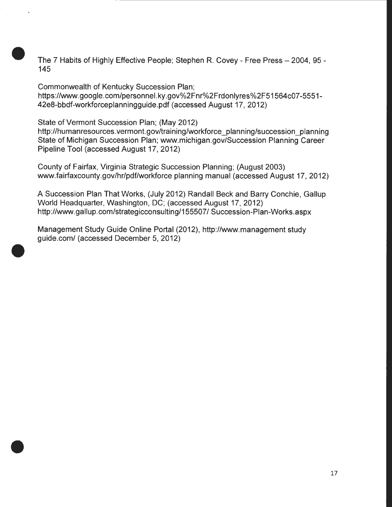$\bullet$ The 7 Habits of Highly Effective People; Stephen R. Covey - Free Press – 2004, 95 -145

Commonwealth of Kentucky Succession Plan; https://www.google.com/personnel.ky.gov%2Fnr%2Frdonlyres%2F51564c07-5551- 42e8-bbdf-workforceplanningguide.pdf (accessed August 17, 2012)

State of Vermont Succession Plan; (May 2012)

•

http://humanresources.vermont.gov/training/workforce\_planning/succession\_planning State of Michigan Succession Plan; www.michigan.gov/Succession Planning Career Pipeline Tool (accessed August 17, 2012)

County of Fairfax, Virginia Strategic Succession Planning; (August 2003) www.fairfaxcounty.gov/hr/pdf/workforce planning manual (accessed August 17, 2012)

A Succession Plan That Works, (July 2012) Randall Beck and Barry Conchie, Gallup World Headquarter, Washington, DC; (accessed August 17, 2012) http://www.gallup.com/strategicconsulting/155507/ Succession-Plan-Works.aspx

 $\bullet$ Management Study Guide Online Portal (2012), http://www.management study guide.com/ (accessed December 5, 2012)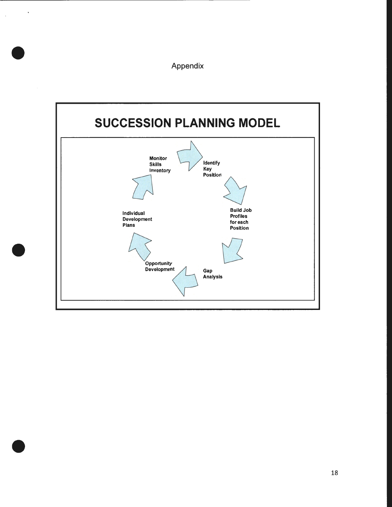Appendix

•

J.

•

•

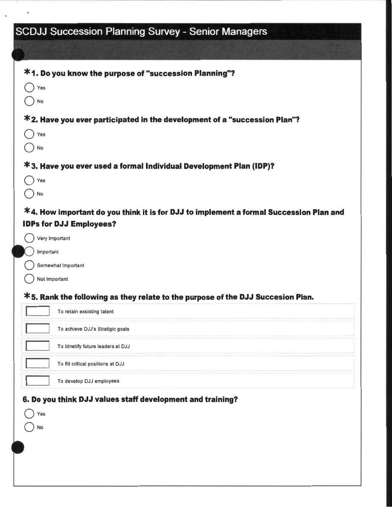# SCDJJ Succession Planning Survey - Senior Managers

| *1. Do you know the purpose of "succession Planning"?                                                                    |
|--------------------------------------------------------------------------------------------------------------------------|
| Yes                                                                                                                      |
| No                                                                                                                       |
| *2. Have you ever participated in the development of a "succession Plan"?                                                |
| Yes                                                                                                                      |
| No                                                                                                                       |
| *3. Have you ever used a formal Individual Development Plan (IDP)?                                                       |
| Yes                                                                                                                      |
| ) No                                                                                                                     |
| *4. How important do you think it is for DJJ to implement a formal Succession Plan and<br><b>IDPs for DJJ Employees?</b> |
| Very Important                                                                                                           |
| Important                                                                                                                |
| Somewhat Important                                                                                                       |
| Not Important                                                                                                            |
| *5. Rank the following as they relate to the purpose of the DJJ Succesion Plan.                                          |
| To retain exsisting talent                                                                                               |
| To achieve DJJ's Stratigic goals                                                                                         |
| To Idnetify future leaders at DJJ                                                                                        |
| To fill critical positions at DJJ                                                                                        |
| To develop DJJ employees                                                                                                 |
| 6. Do you think DJJ values staff development and training?                                                               |
| Yes                                                                                                                      |

 $\bigcap$  No